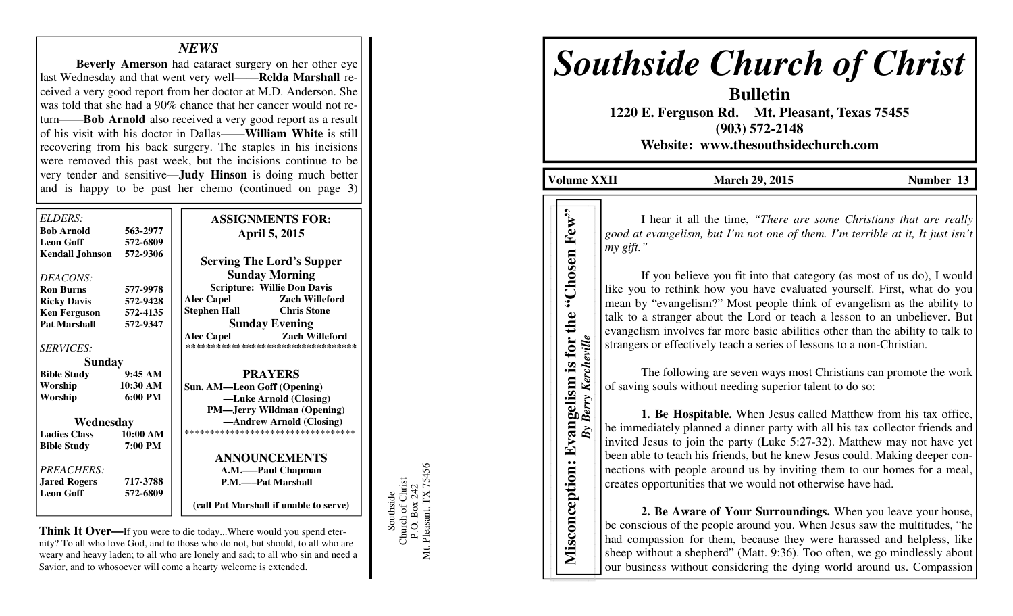## *NEWS*

 **Beverly Amerson** had cataract surgery on her other eye last Wednesday and that went very well——**Relda Marshall** received a very good report from her doctor at M.D. Anderson. She was told that she had a 90% chance that her cancer would not return——**Bob Arnold** also received a very good report as a result of his visit with his doctor in Dallas——**William White** is still recovering from his back surgery. The staples in his incisions were removed this past week, but the incisions continue to be very tender and sensitive—**Judy Hinson** is doing much better and is happy to be past her chemo (continued on page 3)

| ELDERS:                |          | <b>ASSIGNMENTS FOR:</b>                    |
|------------------------|----------|--------------------------------------------|
| <b>Bob Arnold</b>      | 563-2977 | <b>April 5, 2015</b>                       |
| <b>Leon Goff</b>       | 572-6809 |                                            |
| <b>Kendall Johnson</b> | 572-9306 | <b>Serving The Lord's Supper</b>           |
| DEACONS:               |          | <b>Sunday Morning</b>                      |
| <b>Ron Burns</b>       | 577-9978 | <b>Scripture: Willie Don Davis</b>         |
| <b>Ricky Davis</b>     | 572-9428 | <b>Alec Capel</b><br><b>Zach Willeford</b> |
| <b>Ken Ferguson</b>    | 572-4135 | <b>Chris Stone</b><br>Stephen Hall         |
| <b>Pat Marshall</b>    | 572-9347 | <b>Sunday Evening</b>                      |
|                        |          | <b>Alec Capel</b><br><b>Zach Willeford</b> |
| <b>SERVICES:</b>       |          | ***********************************        |
| <b>Sunday</b>          |          |                                            |
| <b>Bible Study</b>     | 9:45AM   | <b>PRAYERS</b>                             |
| Worship                | 10:30 AM | Sun. AM-Leon Goff (Opening)                |
| Worship                | 6:00 PM  | -Luke Arnold (Closing)                     |
|                        |          | <b>PM—Jerry Wildman (Opening)</b>          |
| Wednesday              |          | -Andrew Arnold (Closing)                   |
| <b>Ladies Class</b>    | 10:00 AM | ***********************************        |
| <b>Bible Study</b>     | 7:00 PM  |                                            |
|                        |          | <b>ANNOUNCEMENTS</b>                       |
| <b>PREACHERS:</b>      |          | A.M.——Paul Chapman                         |
| <b>Jared Rogers</b>    | 717-3788 | <b>P.M.——Pat Marshall</b>                  |
| <b>Leon Goff</b>       | 572-6809 |                                            |
|                        |          | (call Pat Marshall if unable to serve)     |

**Think It Over—**If you were to die today...Where would you spend eternity? To all who love God, and to those who do not, but should, to all who are weary and heavy laden; to all who are lonely and sad; to all who sin and need a Savior, and to whosoever will come a hearty welcome is extended.

Southside<br>Church of Christ<br>P.O. Box 242<br>Mt. Pleasant, TX 75456 Mt. Pleasant, TX 75456 Church of Christ P.O. Box 242 Southside

# *Southside Church of Christ*

**Bulletin 1220 E. Ferguson Rd. Mt. Pleasant, Texas 75455 (903) 572-2148 Website: www.thesouthsidechurch.com** 

**Volume XXII** March 29, 2015 **Number 13** 

*By Berry Kercheville* 

I hear it all the time, *"There are some Christians that are really* good at evangelism, but I'm not one of them. I'm terrible at it, It just isn't *my gift."* 

If you believe you fit into that category (as most of us do), I would like you to rethink how you have evaluated yourself. First, what do you mean by "evangelism?" Most people think of evangelism as the ability to talk to a stranger about the Lord or teach a lesson to an unbeliever. But evangelism involves far more basic abilities other than the ability to talk to strangers or effectively teach a series of lessons to a non-Christian.

 The following are seven ways most Christians can promote the work of saving souls without needing superior talent to do so:

**1. Be Hospitable.** When Jesus called Matthew from his tax office, he immediately planned a dinner party with all his tax collector friends and invited Jesus to join the party (Luke 5:27-32). Matthew may not have yet been able to teach his friends, but he knew Jesus could. Making deeper connections with people around us by inviting them to our homes for a meal, creates opportunities that we would not otherwise have had. The art it all the time, "There are some Christians that are really<br>
move of the "Chosen Few" in the consideration of the solution of the solution of the solution of the solution of the move of the move of the move of the

**2. Be Aware of Your Surroundings.** When you leave your house, be conscious of the people around you. When Jesus saw the multitudes, "he had compassion for them, because they were harassed and helpless, like sheep without a shepherd" (Matt. 9:36). Too often, we go mindlessly about our business without considering the dying world around us. Compassion